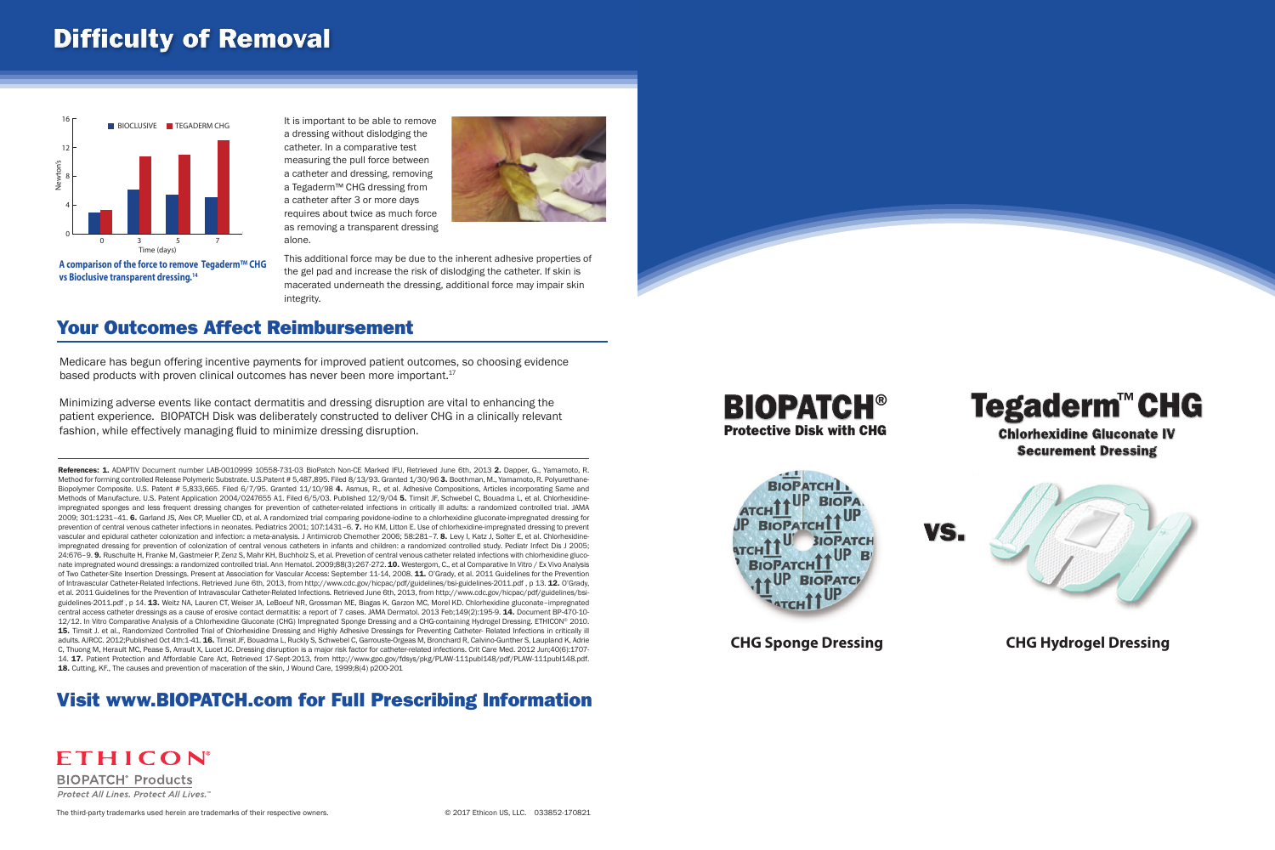#### Visit www.BIOPATCH.com for Full Prescribing Information





ETHICON® **BIOPATCH<sup>®</sup> Products** Protect All Lines. Protect All Lives.'

The third-party trademarks used herein are trademarks of their respective owners. © 2017 Ethicon US, LLC. 033852-170821

**CHG Sponge Dressing CHG Hydrogel Dressing**



# **Securement Dressing**



# Difficulty of Removal

Medicare has begun offering incentive payments for improved patient outcomes, so choosing evidence based products with proven clinical outcomes has never been more important.17

Minimizing adverse events like contact dermatitis and dressing disruption are vital to enhancing the patient experience. BIOPATCH Disk was deliberately constructed to deliver CHG in a clinically relevant fashion, while effectively managing fluid to minimize dressing disruption.

#### Your Outcomes Affect Reimbursement

It is important to be able to remove a dressing without dislodging the catheter. In a comparative test measuring the pull force between a catheter and dressing, removing a Tegaderm™ CHG dressing from a catheter after 3 or more days requires about twice as much force as removing a transparent dressing alone.



This additional force may be due to the inherent adhesive properties of the gel pad and increase the risk of dislodging the catheter. If skin is macerated underneath the dressing, additional force may impair skin integrity.



**vs Bioclusive transparent dressing.14**

References: 1. ADAPTIV Document number LAB-0010999 10558-731-03 BioPatch Non-CE Marked IFU, Retrieved June 6th, 2013 2. Dapper, G., Yamamoto, R. Method for forming controlled Release Polymeric Substrate. U.S.Patent # 5,487,895. Filed 8/13/93. Granted 1/30/96 3. Boothman, M., Yamamoto, R. Polyurethane-Biopolymer Composite. U.S. Patent # 5,833,665. Filed 6/7/95. Granted 11/10/98 4. Asmus, R., et al. Adhesive Compositions, Articles incorporating Same and Methods of Manufacture. U.S. Patent Application 2004/0247655 A1. Filed 6/5/03. Published 12/9/04 5. Timsit JF, Schwebel C, Bouadma L, et al. Chlorhexidineimpregnated sponges and less frequent dressing changes for prevention of catheter-related infections in critically ill adults: a randomized controlled trial. JAMA 2009; 301:1231–41. 6. Garland JS, Alex CP, Mueller CD, et al. A randomized trial comparing povidone-iodine to a chlorhexidine gluconate-impregnated dressing for prevention of central venous catheter infections in neonates. Pediatrics 2001; 107:1431-6. 7. Ho KM, Litton E. Use of chlorhexidine-impregnated dressing to prevent vascular and epidural catheter colonization and infection: a meta-analysis. J Antimicrob Chemother 2006; 58:281-7. 8. Levy I, Katz J, Solter E, et al. Chlorhexidineimpregnated dressing for prevention of colonization of central venous catheters in infants and children: a randomized controlled study. Pediatr Infect Dis J 2005; 24:676-9. 9. Ruschulte H, Franke M, Gastmeier P, Zenz S, Mahr KH, Buchholz S, et al. Prevetion of central venous catheter related infections with chlorhexidine gluconate impregnated wound dressings: a randomized controlled trial. Ann Hematol. 2009;88(3):267-272. 10. Westergom, C., et al Comparative In Vitro / Ex Vivo Analysis of Two Catheter-Site Insertion Dressings. Present at Association for Vascular Access: September 11-14, 2008. 11. O'Grady, et al. 2011 Guidelines for the Prevention of Intravascular Catheter-Related Infections. Retrieved June 6th, 2013, from http://www.cdc.gov/hicpac/pdf/guidelines/bsi-guidelines-2011.pdf, p 13. 12. O'Grady, et al. 2011 Guidelines for the Prevention of Intravascular Catheter-Related Infections. Retrieved June 6th, 2013, from http://www.cdc.gov/hicpac/pdf/guidelines/bsiguidelines-2011.pdf, p 14. 13. Weitz NA, Lauren CT, Weiser JA, LeBoeuf NR, Grossman ME, Biagas K, Garzon MC, Morel KD. Chlorhexidine gluconate-impregnated central access catheter dressings as a cause of erosive contact dermatitis: a report of 7 cases. JAMA Dermatol. 2013 Feb;149(2):195-9. 14. Document BP-470-10- 12/12. In Vitro Comparative Analysis of a Chlorhexidine Gluconate (CHG) Impregnated Sponge Dressing and a CHG-containing Hydrogel Dressing. ETHICON® 2010. 15. Timsit J. et al., Randomized Controlled Trial of Chlorhexidine Dressing and Highly Adhesive Dressings for Preventing Catheter- Related Infections in critically ill adults. AJRCC. 2012;Published Oct 4th:1-41. 16. Timsit JF, Bouadma L, Ruckly S, Schwebel C, Garrouste-Orgeas M, Bronchard R, Calvino-Gunther S, Laupland K, Adrie C, Thuong M, Herault MC, Pease S, Arrault X, Lucet JC. Dressing disruption is a major risk factor for catheter-related infections. Crit Care Med. 2012 Jun;40(6):1707- 14. 17. Patient Protection and Affordable Care Act, Retrieved 17-Sept-2013, from http://www.gpo.gov/fdsys/pkg/PLAW-111publ148/pdf/PLAW-111publ148.pdf. 18. Cutting, KF., The causes and prevention of maceration of the skin, J Wound Care, 1999;8(4) p200-201